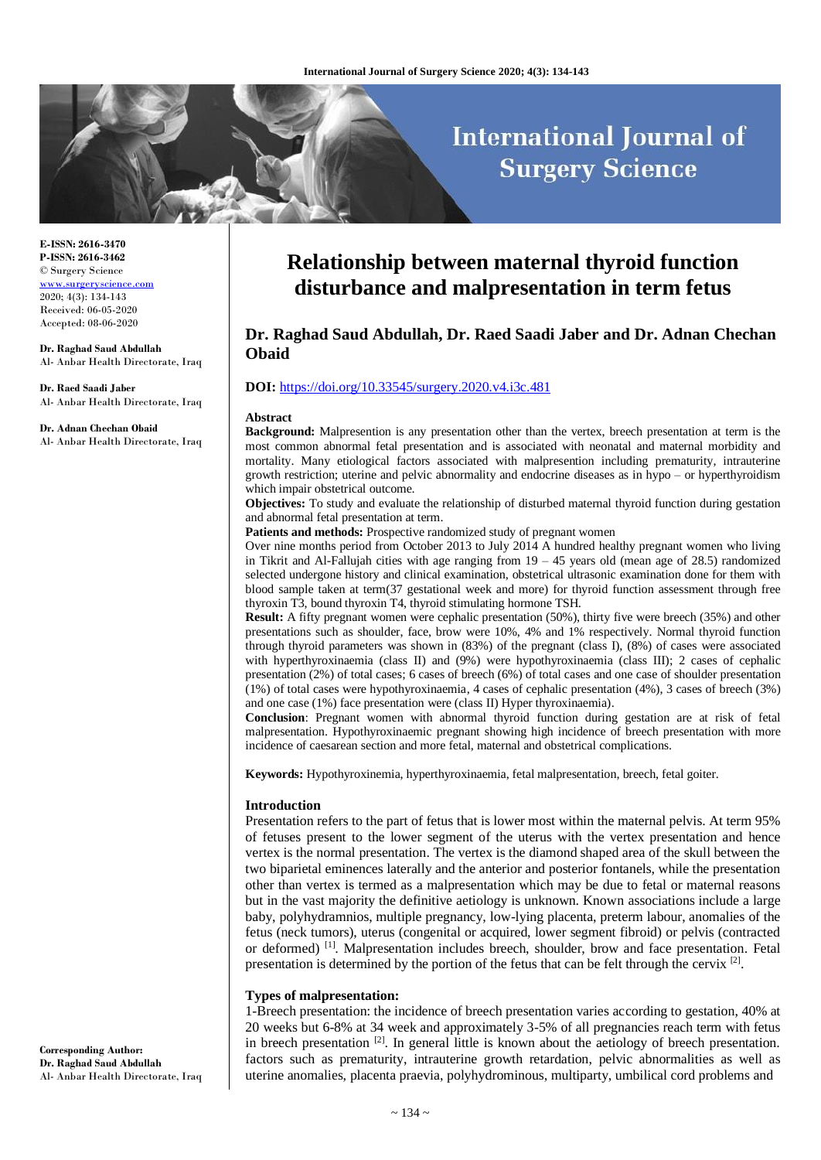# **International Journal of Surgery Science**

**E-ISSN: 2616-3470 P-ISSN: 2616-3462** © Surgery Science [www.surgeryscience.com](http://www.surgeryscience.com/) 2020; 4(3): 134-143 Received: 06-05-2020 Accepted: 08-06-2020

**Dr. Raghad Saud Abdullah** Al- Anbar Health Directorate, Iraq

**Dr. Raed Saadi Jaber** Al- Anbar Health Directorate, Iraq

**Dr. Adnan Chechan Obaid** Al- Anbar Health Directorate, Iraq

# **Relationship between maternal thyroid function disturbance and malpresentation in term fetus**

# **Dr. Raghad Saud Abdullah, Dr. Raed Saadi Jaber and Dr. Adnan Chechan Obaid**

#### **DOI:** <https://doi.org/10.33545/surgery.2020.v4.i3c.481>

#### **Abstract**

**Background:** Malpresention is any presentation other than the vertex, breech presentation at term is the most common abnormal fetal presentation and is associated with neonatal and maternal morbidity and mortality. Many etiological factors associated with malpresention including prematurity, intrauterine growth restriction; uterine and pelvic abnormality and endocrine diseases as in hypo – or hyperthyroidism which impair obstetrical outcome.

**Objectives:** To study and evaluate the relationship of disturbed maternal thyroid function during gestation and abnormal fetal presentation at term.

Patients and methods: Prospective randomized study of pregnant women

Over nine months period from October 2013 to July 2014 A hundred healthy pregnant women who living in Tikrit and Al-Fallujah cities with age ranging from 19 – 45 years old (mean age of 28.5) randomized selected undergone history and clinical examination, obstetrical ultrasonic examination done for them with blood sample taken at term(37 gestational week and more) for thyroid function assessment through free thyroxin T3, bound thyroxin T4, thyroid stimulating hormone TSH.

**Result:** A fifty pregnant women were cephalic presentation (50%), thirty five were breech (35%) and other presentations such as shoulder, face, brow were 10%, 4% and 1% respectively. Normal thyroid function through thyroid parameters was shown in (83%) of the pregnant (class I), (8%) of cases were associated with hyperthyroxinaemia (class II) and (9%) were hypothyroxinaemia (class III); 2 cases of cephalic presentation (2%) of total cases; 6 cases of breech (6%) of total cases and one case of shoulder presentation (1%) of total cases were hypothyroxinaemia, 4 cases of cephalic presentation (4%), 3 cases of breech (3%) and one case (1%) face presentation were (class II) Hyper thyroxinaemia).

**Conclusion**: Pregnant women with abnormal thyroid function during gestation are at risk of fetal malpresentation. Hypothyroxinaemic pregnant showing high incidence of breech presentation with more incidence of caesarean section and more fetal, maternal and obstetrical complications.

**Keywords:** Hypothyroxinemia, hyperthyroxinaemia, fetal malpresentation, breech, fetal goiter.

#### **Introduction**

Presentation refers to the part of fetus that is lower most within the maternal pelvis. At term 95% of fetuses present to the lower segment of the uterus with the vertex presentation and hence vertex is the normal presentation. The vertex is the diamond shaped area of the skull between the two biparietal eminences laterally and the anterior and posterior fontanels, while the presentation other than vertex is termed as a malpresentation which may be due to fetal or maternal reasons but in the vast majority the definitive aetiology is unknown. Known associations include a large baby, polyhydramnios, multiple pregnancy, low-lying placenta, preterm labour, anomalies of the fetus (neck tumors), uterus (congenital or acquired, lower segment fibroid) or pelvis (contracted or deformed) [1]. Malpresentation includes breech, shoulder, brow and face presentation. Fetal presentation is determined by the portion of the fetus that can be felt through the cervix [2].

#### **Types of malpresentation:**

1-Breech presentation: the incidence of breech presentation varies according to gestation, 40% at 20 weeks but 6-8% at 34 week and approximately 3-5% of all pregnancies reach term with fetus in breech presentation  $[2]$ . In general little is known about the aetiology of breech presentation. factors such as prematurity, intrauterine growth retardation, pelvic abnormalities as well as uterine anomalies, placenta praevia, polyhydrominous, multiparty, umbilical cord problems and

**Corresponding Author: Dr. Raghad Saud Abdullah** Al- Anbar Health Directorate, Iraq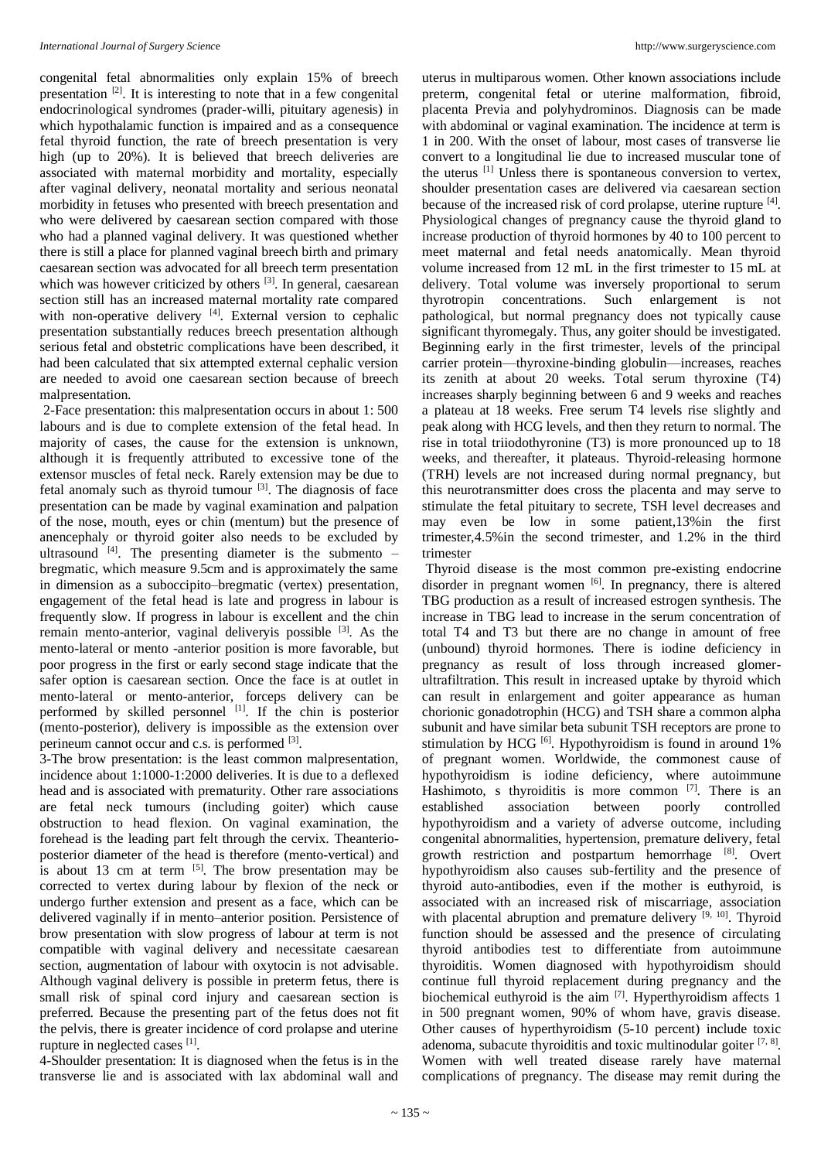congenital fetal abnormalities only explain 15% of breech presentation<sup>[2]</sup>. It is interesting to note that in a few congenital endocrinological syndromes (prader-willi, pituitary agenesis) in which hypothalamic function is impaired and as a consequence fetal thyroid function, the rate of breech presentation is very high (up to 20%). It is believed that breech deliveries are associated with maternal morbidity and mortality, especially after vaginal delivery, neonatal mortality and serious neonatal morbidity in fetuses who presented with breech presentation and who were delivered by caesarean section compared with those who had a planned vaginal delivery. It was questioned whether there is still a place for planned vaginal breech birth and primary caesarean section was advocated for all breech term presentation which was however criticized by others <sup>[3]</sup>. In general, caesarean section still has an increased maternal mortality rate compared with non-operative delivery  $[4]$ . External version to cephalic presentation substantially reduces breech presentation although serious fetal and obstetric complications have been described, it had been calculated that six attempted external cephalic version are needed to avoid one caesarean section because of breech malpresentation.

2-Face presentation: this malpresentation occurs in about 1: 500 labours and is due to complete extension of the fetal head. In majority of cases, the cause for the extension is unknown, although it is frequently attributed to excessive tone of the extensor muscles of fetal neck. Rarely extension may be due to fetal anomaly such as thyroid tumour [3]. The diagnosis of face presentation can be made by vaginal examination and palpation of the nose, mouth, eyes or chin (mentum) but the presence of anencephaly or thyroid goiter also needs to be excluded by ultrasound  $[4]$ . The presenting diameter is the submento – bregmatic, which measure 9.5cm and is approximately the same in dimension as a suboccipito–bregmatic (vertex) presentation, engagement of the fetal head is late and progress in labour is frequently slow. If progress in labour is excellent and the chin remain mento-anterior, vaginal deliveryis possible <sup>[3]</sup>. As the mento-lateral or mento -anterior position is more favorable, but poor progress in the first or early second stage indicate that the safer option is caesarean section. Once the face is at outlet in mento-lateral or mento-anterior, forceps delivery can be performed by skilled personnel [1]. If the chin is posterior (mento-posterior), delivery is impossible as the extension over perineum cannot occur and c.s. is performed <sup>[3]</sup>.

3-The brow presentation: is the least common malpresentation, incidence about 1:1000-1:2000 deliveries. It is due to a deflexed head and is associated with prematurity. Other rare associations are fetal neck tumours (including goiter) which cause obstruction to head flexion. On vaginal examination, the forehead is the leading part felt through the cervix. Theanterioposterior diameter of the head is therefore (mento-vertical) and is about 13 cm at term  $[5]$ . The brow presentation may be corrected to vertex during labour by flexion of the neck or undergo further extension and present as a face, which can be delivered vaginally if in mento–anterior position. Persistence of brow presentation with slow progress of labour at term is not compatible with vaginal delivery and necessitate caesarean section, augmentation of labour with oxytocin is not advisable. Although vaginal delivery is possible in preterm fetus, there is small risk of spinal cord injury and caesarean section is preferred. Because the presenting part of the fetus does not fit the pelvis, there is greater incidence of cord prolapse and uterine rupture in neglected cases [1].

4-Shoulder presentation: It is diagnosed when the fetus is in the transverse lie and is associated with lax abdominal wall and

uterus in multiparous women. Other known associations include preterm, congenital fetal or uterine malformation, fibroid, placenta Previa and polyhydrominos. Diagnosis can be made with abdominal or vaginal examination. The incidence at term is 1 in 200. With the onset of labour, most cases of transverse lie convert to a longitudinal lie due to increased muscular tone of the uterus [1] Unless there is spontaneous conversion to vertex, shoulder presentation cases are delivered via caesarean section because of the increased risk of cord prolapse, uterine rupture [4]. Physiological changes of pregnancy cause the thyroid gland to increase production of thyroid hormones by 40 to 100 percent to meet maternal and fetal needs anatomically. Mean thyroid volume increased from 12 mL in the first trimester to 15 mL at delivery. Total volume was inversely proportional to serum thyrotropin concentrations. Such enlargement is not pathological, but normal pregnancy does not typically cause significant thyromegaly. Thus, any goiter should be investigated. Beginning early in the first trimester, levels of the principal carrier protein—thyroxine-binding globulin—increases, reaches its zenith at about 20 weeks. Total serum thyroxine (T4) increases sharply beginning between 6 and 9 weeks and reaches a plateau at 18 weeks. Free serum T4 levels rise slightly and peak along with HCG levels, and then they return to normal. The rise in total triiodothyronine (T3) is more pronounced up to 18 weeks, and thereafter, it plateaus. Thyroid-releasing hormone (TRH) levels are not increased during normal pregnancy, but this neurotransmitter does cross the placenta and may serve to stimulate the fetal pituitary to secrete, TSH level decreases and may even be low in some patient,13%in the first trimester,4.5%in the second trimester, and 1.2% in the third trimester

Thyroid disease is the most common pre-existing endocrine disorder in pregnant women [6]. In pregnancy, there is altered TBG production as a result of increased estrogen synthesis. The increase in TBG lead to increase in the serum concentration of total T4 and T3 but there are no change in amount of free (unbound) thyroid hormones. There is iodine deficiency in pregnancy as result of loss through increased glomerultrafiltration. This result in increased uptake by thyroid which can result in enlargement and goiter appearance as human chorionic gonadotrophin (HCG) and TSH share a common alpha subunit and have similar beta subunit TSH receptors are prone to stimulation by HCG <sup>[6]</sup>. Hypothyroidism is found in around 1% of pregnant women. Worldwide, the commonest cause of hypothyroidism is iodine deficiency, where autoimmune Hashimoto, s thyroiditis is more common  $[7]$ . There is an established association between poorly controlled hypothyroidism and a variety of adverse outcome, including congenital abnormalities, hypertension, premature delivery, fetal growth restriction and postpartum hemorrhage [8]. Overt hypothyroidism also causes sub-fertility and the presence of thyroid auto-antibodies, even if the mother is euthyroid, is associated with an increased risk of miscarriage, association with placental abruption and premature delivery  $[9, 10]$ . Thyroid function should be assessed and the presence of circulating thyroid antibodies test to differentiate from autoimmune thyroiditis. Women diagnosed with hypothyroidism should continue full thyroid replacement during pregnancy and the biochemical euthyroid is the aim  $[7]$ . Hyperthyroidism affects 1 in 500 pregnant women, 90% of whom have, gravis disease. Other causes of hyperthyroidism (5-10 percent) include toxic adenoma, subacute thyroiditis and toxic multinodular goiter  $[7, 8]$ . Women with well treated disease rarely have maternal complications of pregnancy. The disease may remit during the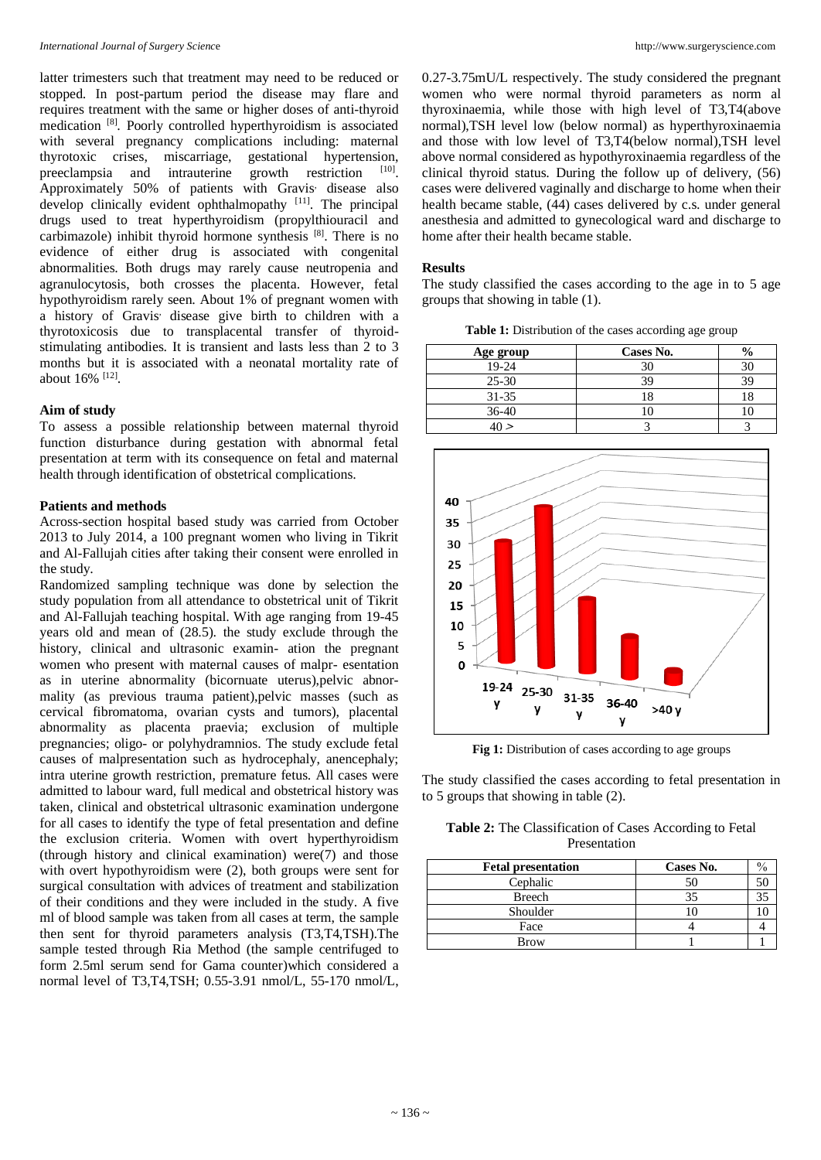latter trimesters such that treatment may need to be reduced or stopped. In post-partum period the disease may flare and requires treatment with the same or higher doses of anti-thyroid medication [8]. Poorly controlled hyperthyroidism is associated with several pregnancy complications including: maternal thyrotoxic crises, miscarriage, gestational hypertension, preeclampsia and intrauterine growth restriction [10] Approximately 50% of patients with Gravis<sup>,</sup> disease also develop clinically evident ophthalmopathy [11]. The principal drugs used to treat hyperthyroidism (propylthiouracil and carbimazole) inhibit thyroid hormone synthesis [8] . There is no evidence of either drug is associated with congenital abnormalities. Both drugs may rarely cause neutropenia and agranulocytosis, both crosses the placenta. However, fetal hypothyroidism rarely seen. About 1% of pregnant women with a history of Gravis, disease give birth to children with a thyrotoxicosis due to transplacental transfer of thyroidstimulating antibodies. It is transient and lasts less than 2 to 3 months but it is associated with a neonatal mortality rate of about 16% [12] .

#### **Aim of study**

To assess a possible relationship between maternal thyroid function disturbance during gestation with abnormal fetal presentation at term with its consequence on fetal and maternal health through identification of obstetrical complications.

#### **Patients and methods**

Across-section hospital based study was carried from October 2013 to July 2014, a 100 pregnant women who living in Tikrit and Al-Fallujah cities after taking their consent were enrolled in the study.

Randomized sampling technique was done by selection the study population from all attendance to obstetrical unit of Tikrit and Al-Fallujah teaching hospital. With age ranging from 19-45 years old and mean of (28.5). the study exclude through the history, clinical and ultrasonic examin- ation the pregnant women who present with maternal causes of malpr- esentation as in uterine abnormality (bicornuate uterus),pelvic abnormality (as previous trauma patient),pelvic masses (such as cervical fibromatoma, ovarian cysts and tumors), placental abnormality as placenta praevia; exclusion of multiple pregnancies; oligo- or polyhydramnios. The study exclude fetal causes of malpresentation such as hydrocephaly, anencephaly; intra uterine growth restriction, premature fetus. All cases were admitted to labour ward, full medical and obstetrical history was taken, clinical and obstetrical ultrasonic examination undergone for all cases to identify the type of fetal presentation and define the exclusion criteria. Women with overt hyperthyroidism (through history and clinical examination) were(7) and those with overt hypothyroidism were  $(2)$ , both groups were sent for surgical consultation with advices of treatment and stabilization of their conditions and they were included in the study. A five ml of blood sample was taken from all cases at term, the sample then sent for thyroid parameters analysis (T3,T4,TSH).The sample tested through Ria Method (the sample centrifuged to form 2.5ml serum send for Gama counter)which considered a normal level of T3,T4,TSH; 0.55-3.91 nmol/L, 55-170 nmol/L, 0.27-3.75mU/L respectively. The study considered the pregnant women who were normal thyroid parameters as norm al thyroxinaemia, while those with high level of T3,T4(above normal),TSH level low (below normal) as hyperthyroxinaemia and those with low level of T3,T4(below normal),TSH level above normal considered as hypothyroxinaemia regardless of the clinical thyroid status. During the follow up of delivery, (56) cases were delivered vaginally and discharge to home when their health became stable, (44) cases delivered by c.s. under general anesthesia and admitted to gynecological ward and discharge to home after their health became stable.

## **Results**

The study classified the cases according to the age in to 5 age groups that showing in table (1).

**Table 1:** Distribution of the cases according age group

| Age group | Cases No. | $\frac{0}{0}$ |
|-----------|-----------|---------------|
| 19-24     |           |               |
| $25 - 30$ |           |               |
| $31 - 35$ |           |               |
| $36 - 40$ |           |               |
|           |           |               |



Fig 1: Distribution of cases according to age groups

The study classified the cases according to fetal presentation in to 5 groups that showing in table (2).

**Table 2:** The Classification of Cases According to Fetal Presentation

| <b>Fetal presentation</b> | Cases No. | $\%$ |
|---------------------------|-----------|------|
| Cephalic                  | 50        |      |
| Breech                    | 35        |      |
| Shoulder                  |           |      |
| Face                      |           |      |
| <b>Brow</b>               |           |      |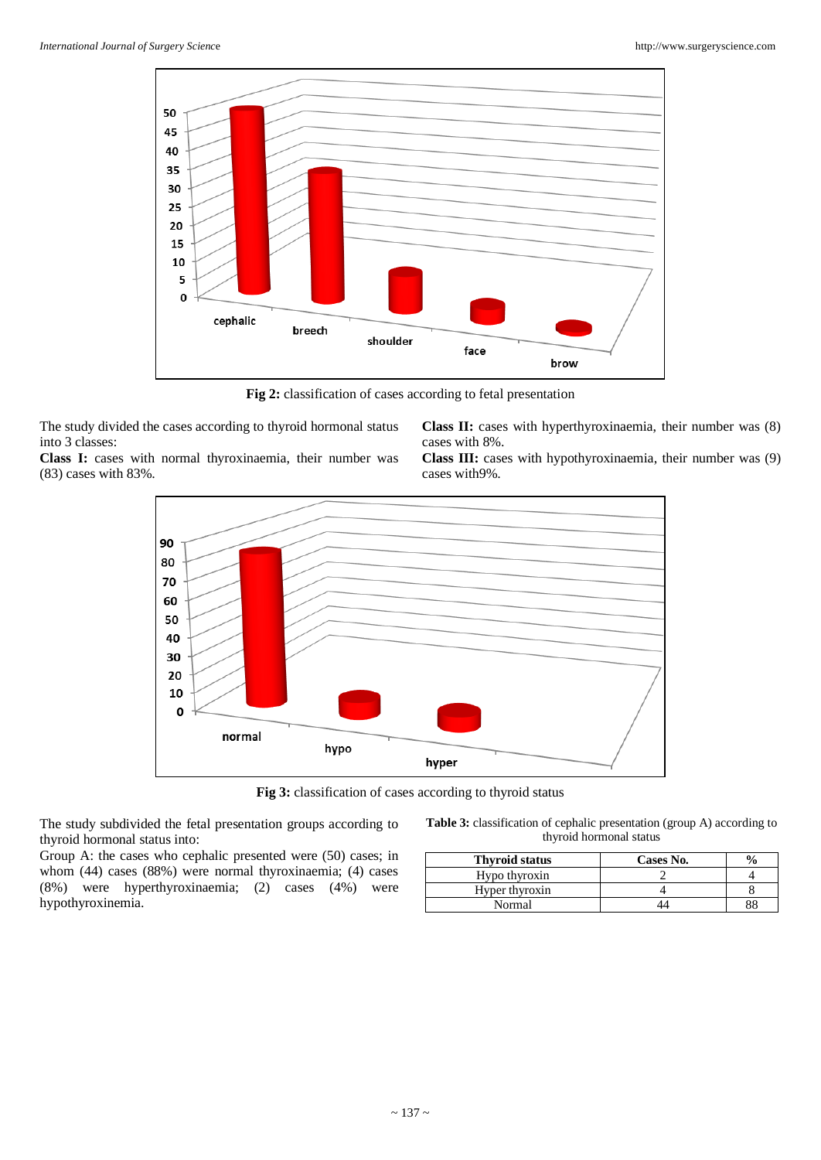

**Fig 2:** classification of cases according to fetal presentation

The study divided the cases according to thyroid hormonal status into 3 classes:

**Class I:** cases with normal thyroxinaemia, their number was (83) cases with 83%.

**Class II:** cases with hyperthyroxinaemia, their number was (8) cases with 8%.

**Class III:** cases with hypothyroxinaemia, their number was (9) cases with9%.



**Fig 3:** classification of cases according to thyroid status

The study subdivided the fetal presentation groups according to thyroid hormonal status into:

Group A: the cases who cephalic presented were (50) cases; in whom (44) cases (88%) were normal thyroxinaemia; (4) cases (8%) were hyperthyroxinaemia; (2) cases (4%) were hypothyroxinemia.

| <b>Table 3:</b> classification of cephalic presentation (group A) according to |  |
|--------------------------------------------------------------------------------|--|
| thyroid hormonal status                                                        |  |

| <b>Thyroid status</b> | Cases No. |  |
|-----------------------|-----------|--|
| Hypo thyroxin         |           |  |
| Hyper thyroxin        |           |  |
| Normal                |           |  |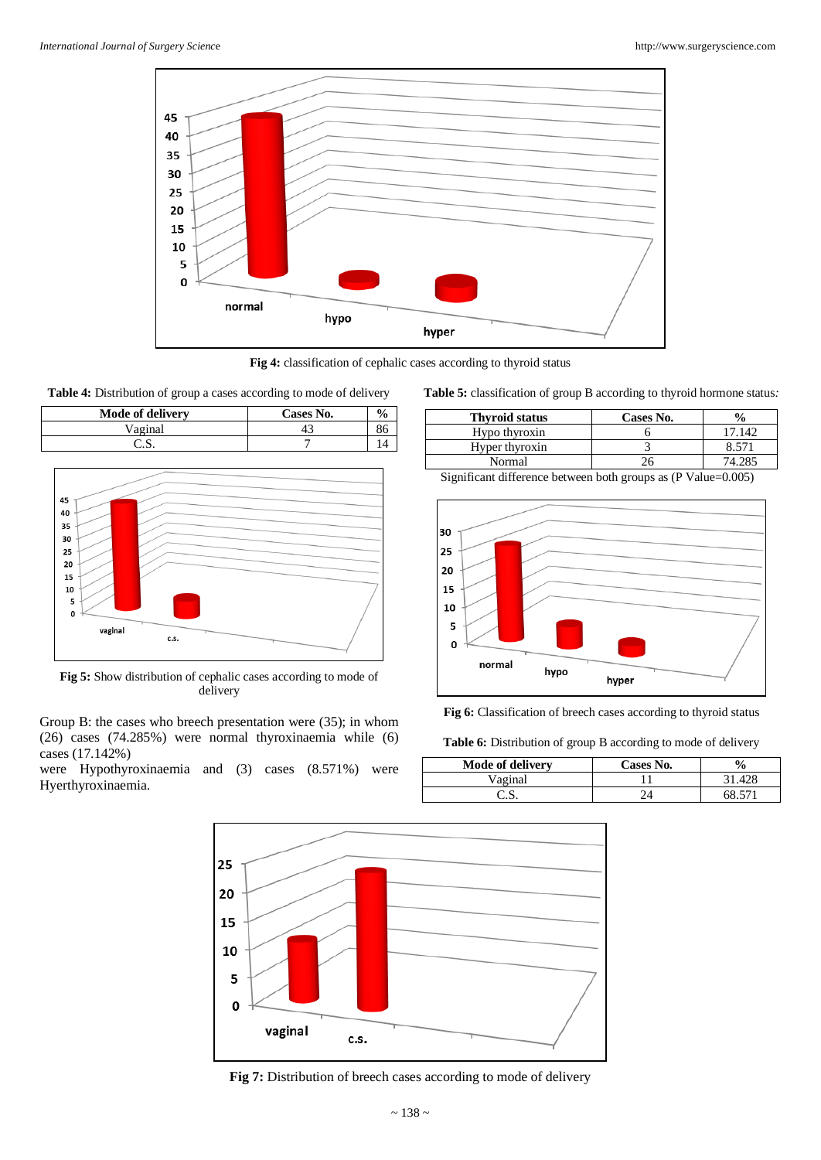

**Fig 4:** classification of cephalic cases according to thyroid status



| <b>Mode of delivery</b> | Cases No. |  |
|-------------------------|-----------|--|
| Vaginal                 |           |  |
| .د.                     |           |  |



**Fig 5:** Show distribution of cephalic cases according to mode of delivery

Group B: the cases who breech presentation were (35); in whom (26) cases (74.285%) were normal thyroxinaemia while (6) cases (17.142%)

were Hypothyroxinaemia and (3) cases (8.571%) were Hyerthyroxinaemia.

**Table 5:** classification of group B according to thyroid hormone status*:*

| <b>Thyroid status</b> | Cases No. | $\frac{0}{0}$ |
|-----------------------|-----------|---------------|
| Hypo thyroxin         |           | 7 142         |
| Hyper thyroxin        |           | 8.571         |
| Normal                |           |               |

Significant difference between both groups as (P Value=0.005)



**Fig 6:** Classification of breech cases according to thyroid status

**Table 6:** Distribution of group B according to mode of delivery

| <b>Mode of delivery</b> | <b>Cases No.</b> | $\frac{0}{0}$ |
|-------------------------|------------------|---------------|
| Vaginal                 |                  |               |
| وفاوتها                 |                  | 68. 571       |



Fig 7: Distribution of breech cases according to mode of delivery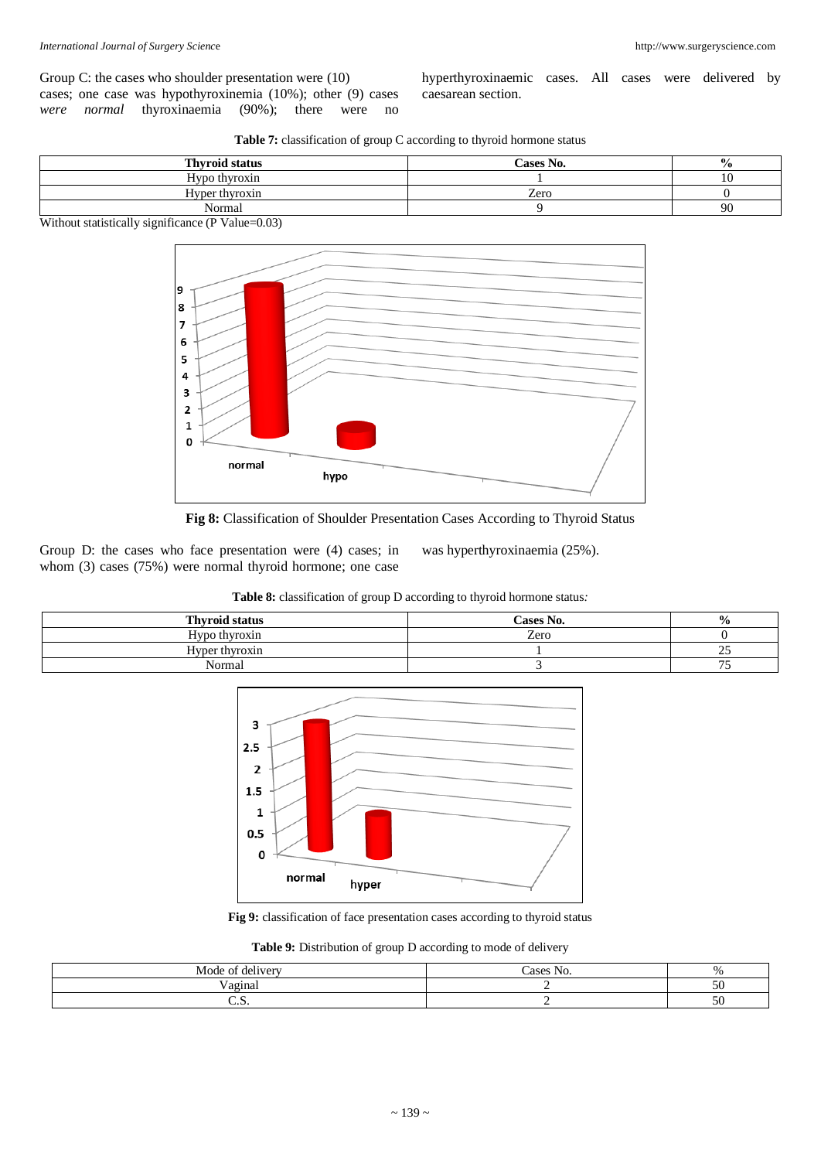Group C: the cases who shoulder presentation were (10) cases; one case was hypothyroxinemia (10%); other (9) cases *were normal* thyroxinaemia (90%); there were no hyperthyroxinaemic cases. All cases were delivered by caesarean section.

|  |  | <b>Table 7:</b> classification of group C according to thyroid hormone status |
|--|--|-------------------------------------------------------------------------------|
|--|--|-------------------------------------------------------------------------------|

| <b>Thyroid status</b> | Cases No. | $\frac{6}{9}$ |
|-----------------------|-----------|---------------|
| Hypo thyroxin         |           | ιυ            |
| Hyper thyroxin        | Zero      |               |
| Normal                |           | 90            |

Without statistically significance (P Value=0.03)



**Fig 8:** Classification of Shoulder Presentation Cases According to Thyroid Status

Group D: the cases who face presentation were (4) cases; in whom (3) cases (75%) were normal thyroid hormone; one case

was hyperthyroxinaemia (25%).

## **Table 8:** classification of group D according to thyroid hormone status*:*

| <b>Thyroid status</b> | Cases No. | $\frac{0}{0}$ |
|-----------------------|-----------|---------------|
| Hypo thyroxin         | Zero      |               |
| Hyper thyroxin        |           |               |
| Normal                |           | $- -$         |



**Fig 9:** classification of face presentation cases according to thyroid status

|  |  | Table 9: Distribution of group D according to mode of delivery |  |  |  |  |  |  |  |  |  |
|--|--|----------------------------------------------------------------|--|--|--|--|--|--|--|--|--|
|--|--|----------------------------------------------------------------|--|--|--|--|--|--|--|--|--|

| $\rightarrow$<br>Mode of<br>* delivery | $\sim$ $\sim$<br>Cases No. |  |
|----------------------------------------|----------------------------|--|
| T<br>Vaginal                           |                            |  |
| . ت                                    |                            |  |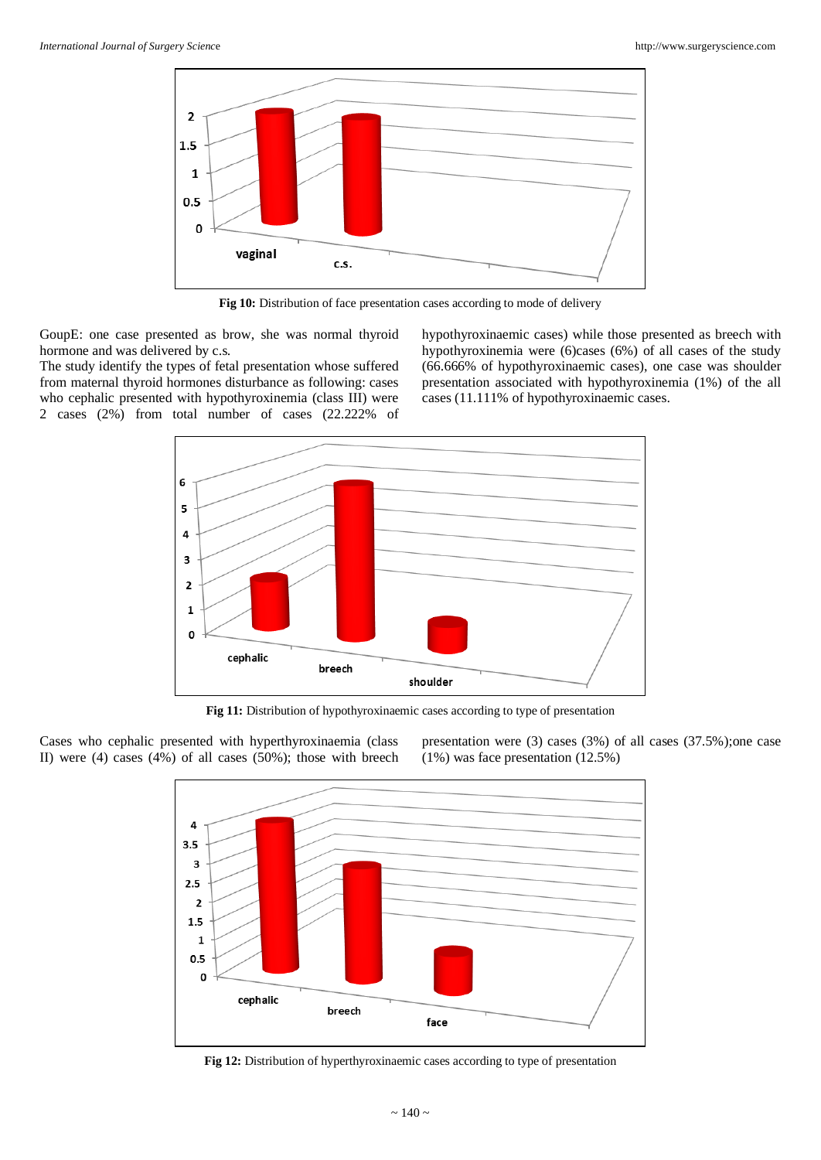

Fig 10: Distribution of face presentation cases according to mode of delivery

GoupE: one case presented as brow, she was normal thyroid hormone and was delivered by c.s.

The study identify the types of fetal presentation whose suffered from maternal thyroid hormones disturbance as following: cases who cephalic presented with hypothyroxinemia (class III) were 2 cases (2%) from total number of cases (22.222% of hypothyroxinaemic cases) while those presented as breech with hypothyroxinemia were (6)cases (6%) of all cases of the study (66.666% of hypothyroxinaemic cases), one case was shoulder presentation associated with hypothyroxinemia (1%) of the all cases (11.111% of hypothyroxinaemic cases.



**Fig 11:** Distribution of hypothyroxinaemic cases according to type of presentation

Cases who cephalic presented with hyperthyroxinaemia (class II) were (4) cases (4%) of all cases (50%); those with breech presentation were (3) cases (3%) of all cases (37.5%);one case (1%) was face presentation (12.5%)



**Fig 12:** Distribution of hyperthyroxinaemic cases according to type of presentation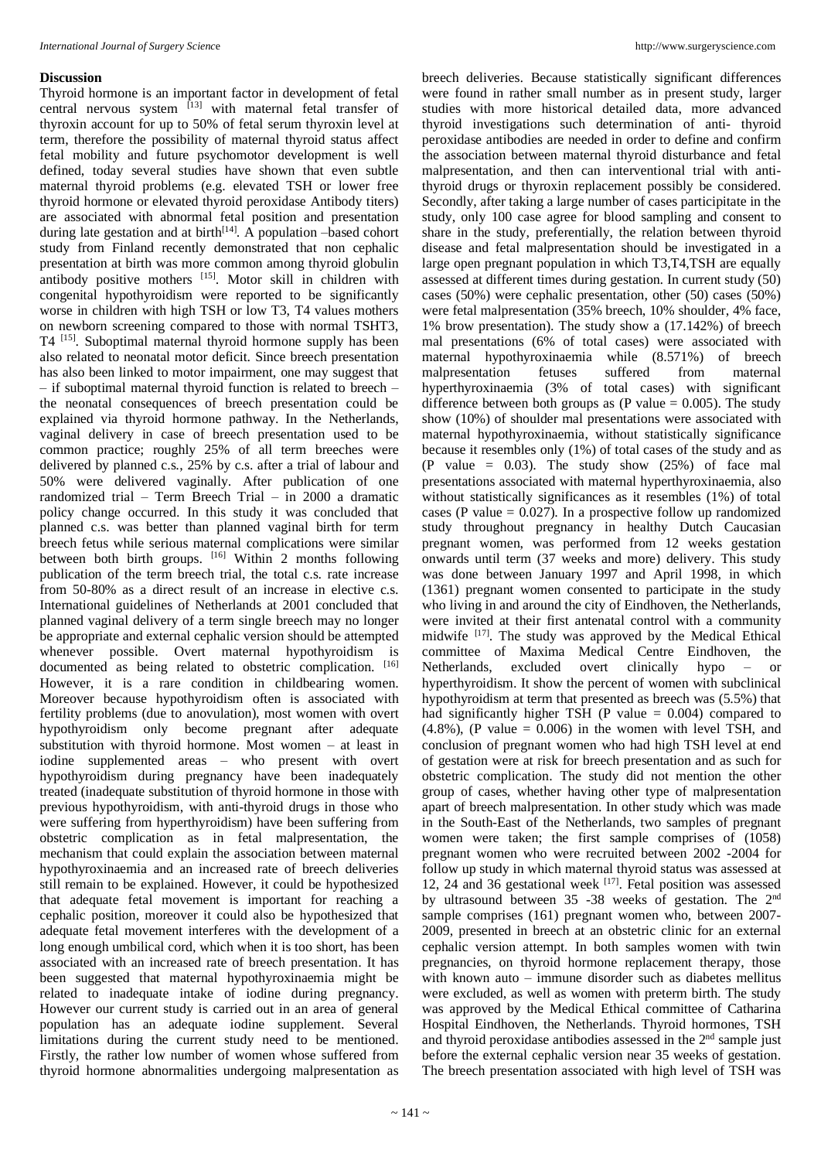#### **Discussion**

Thyroid hormone is an important factor in development of fetal central nervous system <sup>[13]</sup> with maternal fetal transfer of thyroxin account for up to 50% of fetal serum thyroxin level at term, therefore the possibility of maternal thyroid status affect fetal mobility and future psychomotor development is well defined, today several studies have shown that even subtle maternal thyroid problems (e.g. elevated TSH or lower free thyroid hormone or elevated thyroid peroxidase Antibody titers) are associated with abnormal fetal position and presentation during late gestation and at birth $[14]$ . A population -based cohort study from Finland recently demonstrated that non cephalic presentation at birth was more common among thyroid globulin antibody positive mothers [15]. Motor skill in children with congenital hypothyroidism were reported to be significantly worse in children with high TSH or low T3, T4 values mothers on newborn screening compared to those with normal TSHT3, T4<sup>[15]</sup>. Suboptimal maternal thyroid hormone supply has been also related to neonatal motor deficit. Since breech presentation has also been linked to motor impairment, one may suggest that – if suboptimal maternal thyroid function is related to breech – the neonatal consequences of breech presentation could be explained via thyroid hormone pathway. In the Netherlands, vaginal delivery in case of breech presentation used to be common practice; roughly 25% of all term breeches were delivered by planned c.s., 25% by c.s. after a trial of labour and 50% were delivered vaginally. After publication of one randomized trial – Term Breech Trial – in 2000 a dramatic policy change occurred. In this study it was concluded that planned c.s. was better than planned vaginal birth for term breech fetus while serious maternal complications were similar between both birth groups. [16] Within 2 months following publication of the term breech trial, the total c.s. rate increase from 50-80% as a direct result of an increase in elective c.s. International guidelines of Netherlands at 2001 concluded that planned vaginal delivery of a term single breech may no longer be appropriate and external cephalic version should be attempted whenever possible. Overt maternal hypothyroidism is documented as being related to obstetric complication. [16] However, it is a rare condition in childbearing women. Moreover because hypothyroidism often is associated with fertility problems (due to anovulation), most women with overt hypothyroidism only become pregnant after adequate substitution with thyroid hormone. Most women – at least in iodine supplemented areas – who present with overt hypothyroidism during pregnancy have been inadequately treated (inadequate substitution of thyroid hormone in those with previous hypothyroidism, with anti-thyroid drugs in those who were suffering from hyperthyroidism) have been suffering from obstetric complication as in fetal malpresentation, the mechanism that could explain the association between maternal hypothyroxinaemia and an increased rate of breech deliveries still remain to be explained. However, it could be hypothesized that adequate fetal movement is important for reaching a cephalic position, moreover it could also be hypothesized that adequate fetal movement interferes with the development of a long enough umbilical cord, which when it is too short, has been associated with an increased rate of breech presentation. It has been suggested that maternal hypothyroxinaemia might be related to inadequate intake of iodine during pregnancy. However our current study is carried out in an area of general population has an adequate iodine supplement. Several limitations during the current study need to be mentioned. Firstly, the rather low number of women whose suffered from thyroid hormone abnormalities undergoing malpresentation as

breech deliveries. Because statistically significant differences were found in rather small number as in present study, larger studies with more historical detailed data, more advanced thyroid investigations such determination of anti- thyroid peroxidase antibodies are needed in order to define and confirm the association between maternal thyroid disturbance and fetal malpresentation, and then can interventional trial with antithyroid drugs or thyroxin replacement possibly be considered. Secondly, after taking a large number of cases participitate in the study, only 100 case agree for blood sampling and consent to share in the study, preferentially, the relation between thyroid disease and fetal malpresentation should be investigated in a large open pregnant population in which T3,T4,TSH are equally assessed at different times during gestation. In current study (50) cases (50%) were cephalic presentation, other (50) cases (50%) were fetal malpresentation (35% breech, 10% shoulder, 4% face, 1% brow presentation). The study show a (17.142%) of breech mal presentations (6% of total cases) were associated with maternal hypothyroxinaemia while (8.571%) of breech malpresentation fetuses suffered from maternal hyperthyroxinaemia (3% of total cases) with significant difference between both groups as (P value  $= 0.005$ ). The study show (10%) of shoulder mal presentations were associated with maternal hypothyroxinaemia, without statistically significance because it resembles only (1%) of total cases of the study and as (P value =  $0.03$ ). The study show  $(25%)$  of face mal presentations associated with maternal hyperthyroxinaemia, also without statistically significances as it resembles (1%) of total cases (P value  $= 0.027$ ). In a prospective follow up randomized study throughout pregnancy in healthy Dutch Caucasian pregnant women, was performed from 12 weeks gestation onwards until term (37 weeks and more) delivery. This study was done between January 1997 and April 1998, in which (1361) pregnant women consented to participate in the study who living in and around the city of Eindhoven, the Netherlands, were invited at their first antenatal control with a community midwife <sup>[17]</sup>. The study was approved by the Medical Ethical committee of Maxima Medical Centre Eindhoven, the Netherlands, excluded overt clinically hypo – or hyperthyroidism. It show the percent of women with subclinical hypothyroidism at term that presented as breech was (5.5%) that had significantly higher TSH (P value = 0.004) compared to  $(4.8\%)$ , (P value = 0.006) in the women with level TSH, and conclusion of pregnant women who had high TSH level at end of gestation were at risk for breech presentation and as such for obstetric complication. The study did not mention the other group of cases, whether having other type of malpresentation apart of breech malpresentation. In other study which was made in the South-East of the Netherlands, two samples of pregnant women were taken; the first sample comprises of (1058) pregnant women who were recruited between 2002 -2004 for follow up study in which maternal thyroid status was assessed at 12, 24 and 36 gestational week [17]. Fetal position was assessed by ultrasound between 35 -38 weeks of gestation. The 2nd sample comprises (161) pregnant women who, between 2007- 2009, presented in breech at an obstetric clinic for an external cephalic version attempt. In both samples women with twin pregnancies, on thyroid hormone replacement therapy, those with known auto – immune disorder such as diabetes mellitus were excluded, as well as women with preterm birth. The study was approved by the Medical Ethical committee of Catharina Hospital Eindhoven, the Netherlands. Thyroid hormones, TSH and thyroid peroxidase antibodies assessed in the 2nd sample just before the external cephalic version near 35 weeks of gestation. The breech presentation associated with high level of TSH was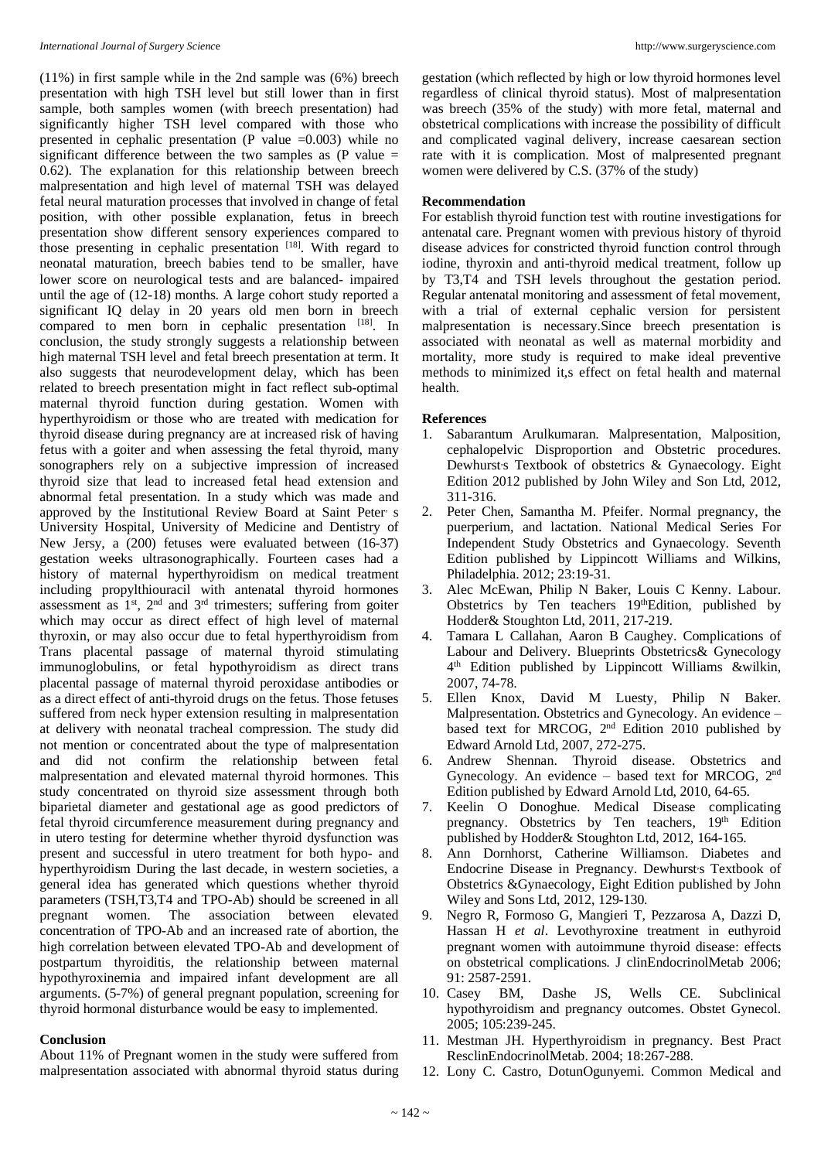(11%) in first sample while in the 2nd sample was (6%) breech presentation with high TSH level but still lower than in first sample, both samples women (with breech presentation) had significantly higher TSH level compared with those who presented in cephalic presentation (P value  $=0.003$ ) while no significant difference between the two samples as  $(P \text{ value } =$ 0.62). The explanation for this relationship between breech malpresentation and high level of maternal TSH was delayed fetal neural maturation processes that involved in change of fetal position, with other possible explanation, fetus in breech presentation show different sensory experiences compared to those presenting in cephalic presentation [18]. With regard to neonatal maturation, breech babies tend to be smaller, have lower score on neurological tests and are balanced- impaired until the age of (12-18) months. A large cohort study reported a significant IQ delay in 20 years old men born in breech compared to men born in cephalic presentation [18]. In conclusion, the study strongly suggests a relationship between high maternal TSH level and fetal breech presentation at term. It also suggests that neurodevelopment delay, which has been related to breech presentation might in fact reflect sub-optimal maternal thyroid function during gestation. Women with hyperthyroidism or those who are treated with medication for thyroid disease during pregnancy are at increased risk of having fetus with a goiter and when assessing the fetal thyroid, many sonographers rely on a subjective impression of increased thyroid size that lead to increased fetal head extension and abnormal fetal presentation. In a study which was made and approved by the Institutional Review Board at Saint Peter<sup>,</sup> s University Hospital, University of Medicine and Dentistry of New Jersy, a (200) fetuses were evaluated between (16-37) gestation weeks ultrasonographically. Fourteen cases had a history of maternal hyperthyroidism on medical treatment including propylthiouracil with antenatal thyroid hormones assessment as  $1<sup>st</sup>$ ,  $2<sup>nd</sup>$  and  $3<sup>rd</sup>$  trimesters; suffering from goiter which may occur as direct effect of high level of maternal thyroxin, or may also occur due to fetal hyperthyroidism from Trans placental passage of maternal thyroid stimulating immunoglobulins, or fetal hypothyroidism as direct trans placental passage of maternal thyroid peroxidase antibodies or as a direct effect of anti-thyroid drugs on the fetus. Those fetuses suffered from neck hyper extension resulting in malpresentation at delivery with neonatal tracheal compression. The study did not mention or concentrated about the type of malpresentation and did not confirm the relationship between fetal malpresentation and elevated maternal thyroid hormones. This study concentrated on thyroid size assessment through both biparietal diameter and gestational age as good predictors of fetal thyroid circumference measurement during pregnancy and in utero testing for determine whether thyroid dysfunction was present and successful in utero treatment for both hypo- and hyperthyroidism During the last decade, in western societies, a general idea has generated which questions whether thyroid parameters (TSH,T3,T4 and TPO-Ab) should be screened in all pregnant women. The association between elevated concentration of TPO-Ab and an increased rate of abortion, the high correlation between elevated TPO-Ab and development of postpartum thyroiditis, the relationship between maternal hypothyroxinemia and impaired infant development are all arguments. (5-7%) of general pregnant population, screening for thyroid hormonal disturbance would be easy to implemented.

# **Conclusion**

About 11% of Pregnant women in the study were suffered from malpresentation associated with abnormal thyroid status during

gestation (which reflected by high or low thyroid hormones level regardless of clinical thyroid status). Most of malpresentation was breech (35% of the study) with more fetal, maternal and obstetrical complications with increase the possibility of difficult and complicated vaginal delivery, increase caesarean section rate with it is complication. Most of malpresented pregnant women were delivered by C.S. (37% of the study)

# **Recommendation**

For establish thyroid function test with routine investigations for antenatal care. Pregnant women with previous history of thyroid disease advices for constricted thyroid function control through iodine, thyroxin and anti-thyroid medical treatment, follow up by T3,T4 and TSH levels throughout the gestation period. Regular antenatal monitoring and assessment of fetal movement, with a trial of external cephalic version for persistent malpresentation is necessary.Since breech presentation is associated with neonatal as well as maternal morbidity and mortality, more study is required to make ideal preventive methods to minimized it,s effect on fetal health and maternal health.

# **References**

- 1. Sabarantum Arulkumaran. Malpresentation, Malposition, cephalopelvic Disproportion and Obstetric procedures. Dewhurst's Textbook of obstetrics & Gynaecology. Eight Edition 2012 published by John Wiley and Son Ltd, 2012, 311-316.
- 2. Peter Chen, Samantha M. Pfeifer. Normal pregnancy, the puerperium, and lactation. National Medical Series For Independent Study Obstetrics and Gynaecology. Seventh Edition published by Lippincott Williams and Wilkins, Philadelphia. 2012; 23:19-31.
- 3. Alec McEwan, Philip N Baker, Louis C Kenny. Labour. Obstetrics by Ten teachers 19thEdition, published by Hodder& Stoughton Ltd, 2011, 217-219.
- 4. Tamara L Callahan, Aaron B Caughey. Complications of Labour and Delivery. Blueprints Obstetrics& Gynecology 4 th Edition published by Lippincott Williams &wilkin, 2007, 74-78.
- 5. Ellen Knox, David M Luesty, Philip N Baker. Malpresentation. Obstetrics and Gynecology. An evidence – based text for MRCOG, 2<sup>nd</sup> Edition 2010 published by Edward Arnold Ltd, 2007, 272-275.
- 6. Andrew Shennan. Thyroid disease. Obstetrics and Gynecology. An evidence - based text for MRCOG, 2nd Edition published by Edward Arnold Ltd, 2010, 64-65.
- 7. Keelin O Donoghue. Medical Disease complicating pregnancy. Obstetrics by Ten teachers, 19th Edition published by Hodder& Stoughton Ltd, 2012, 164-165.
- 8. Ann Dornhorst, Catherine Williamson. Diabetes and Endocrine Disease in Pregnancy. Dewhurst's Textbook of Obstetrics &Gynaecology, Eight Edition published by John Wiley and Sons Ltd, 2012, 129-130.
- 9. Negro R, Formoso G, Mangieri T, Pezzarosa A, Dazzi D, Hassan H *et al*. Levothyroxine treatment in euthyroid pregnant women with autoimmune thyroid disease: effects on obstetrical complications. J clinEndocrinolMetab 2006; 91: 2587-2591.
- 10. Casey BM, Dashe JS, Wells CE. Subclinical hypothyroidism and pregnancy outcomes. Obstet Gynecol. 2005; 105:239-245.
- 11. Mestman JH. Hyperthyroidism in pregnancy. Best Pract ResclinEndocrinolMetab. 2004; 18:267-288.
- 12. Lony C. Castro, DotunOgunyemi. Common Medical and